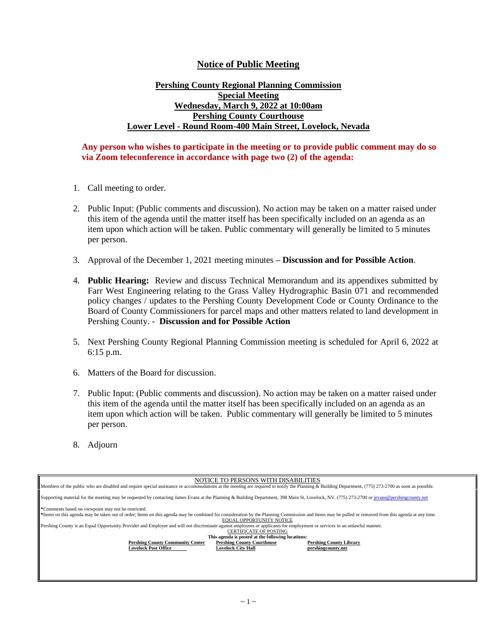## **Notice of Public Meeting**

## **Pershing County Regional Planning Commission Special Meeting Wednesday, March 9, 2022 at 10:00am Pershing County Courthouse Lower Level - Round Room-400 Main Street, Lovelock, Nevada**

## **Any person who wishes to participate in the meeting or to provide public comment may do so via Zoom teleconference in accordance with page two (2) of the agenda:**

- 1. Call meeting to order.
- 2. Public Input: (Public comments and discussion). No action may be taken on a matter raised under this item of the agenda until the matter itself has been specifically included on an agenda as an item upon which action will be taken. Public commentary will generally be limited to 5 minutes per person.
- 3. Approval of the December 1, 2021 meeting minutes **– Discussion and for Possible Action**.
- 4. **Public Hearing:** Review and discuss Technical Memorandum and its appendixes submitted by Farr West Engineering relating to the Grass Valley Hydrographic Basin 071 and recommended policy changes / updates to the Pershing County Development Code or County Ordinance to the Board of County Commissioners for parcel maps and other matters related to land development in Pershing County. - **Discussion and for Possible Action**
- 5. Next Pershing County Regional Planning Commission meeting is scheduled for April 6, 2022 at 6:15 p.m.
- 6. Matters of the Board for discussion.
- 7. Public Input: (Public comments and discussion). No action may be taken on a matter raised under this item of the agenda until the matter itself has been specifically included on an agenda as an item upon which action will be taken. Public commentary will generally be limited to 5 minutes per person.
- 8. Adjourn

| NOTICE TO PERSONS WITH DISABILITIES                                                                                                                                                                   |                                   |                                |
|-------------------------------------------------------------------------------------------------------------------------------------------------------------------------------------------------------|-----------------------------------|--------------------------------|
| Members of the public who are disabled and require special assistance or accommodations at the meeting are required to notify the Planning & Building Department, (775) 273-2700 as soon as possible. |                                   |                                |
| Supporting material for the meeting may be requested by contacting James Evans at the Planning & Building Department, 398 Main St, Lovelock, NV. (775) 273-2700 or jevans@pershingcounty.net          |                                   |                                |
| *Comments based on viewpoint may not be restricted                                                                                                                                                    |                                   |                                |
| *Items on this agenda may be taken out of order; Items on this agenda may be combined for consideration by the Planning Commission and Items may be pulled or removed from this agenda at any time.   |                                   |                                |
| <b>EOUAL OPPORTUNITY NOTICE</b>                                                                                                                                                                       |                                   |                                |
| Pershing County is an Equal Opportunity Provider and Employer and will not discriminate against employees or applicants for employment or services in an unlawful manner.                             |                                   |                                |
| <b>CERTIFICATE OF POSTING</b>                                                                                                                                                                         |                                   |                                |
| This agenda is posted at the following locations:                                                                                                                                                     |                                   |                                |
| <b>Pershing County Community Center</b>                                                                                                                                                               | <b>Pershing County Courthouse</b> | <b>Pershing County Library</b> |
| <b>Lovelock Post Office</b>                                                                                                                                                                           | <b>Lovelock City Hall</b>         | pershingcounty.net             |
|                                                                                                                                                                                                       |                                   |                                |
|                                                                                                                                                                                                       |                                   |                                |
|                                                                                                                                                                                                       |                                   |                                |
|                                                                                                                                                                                                       |                                   |                                |
|                                                                                                                                                                                                       |                                   |                                |
|                                                                                                                                                                                                       |                                   |                                |